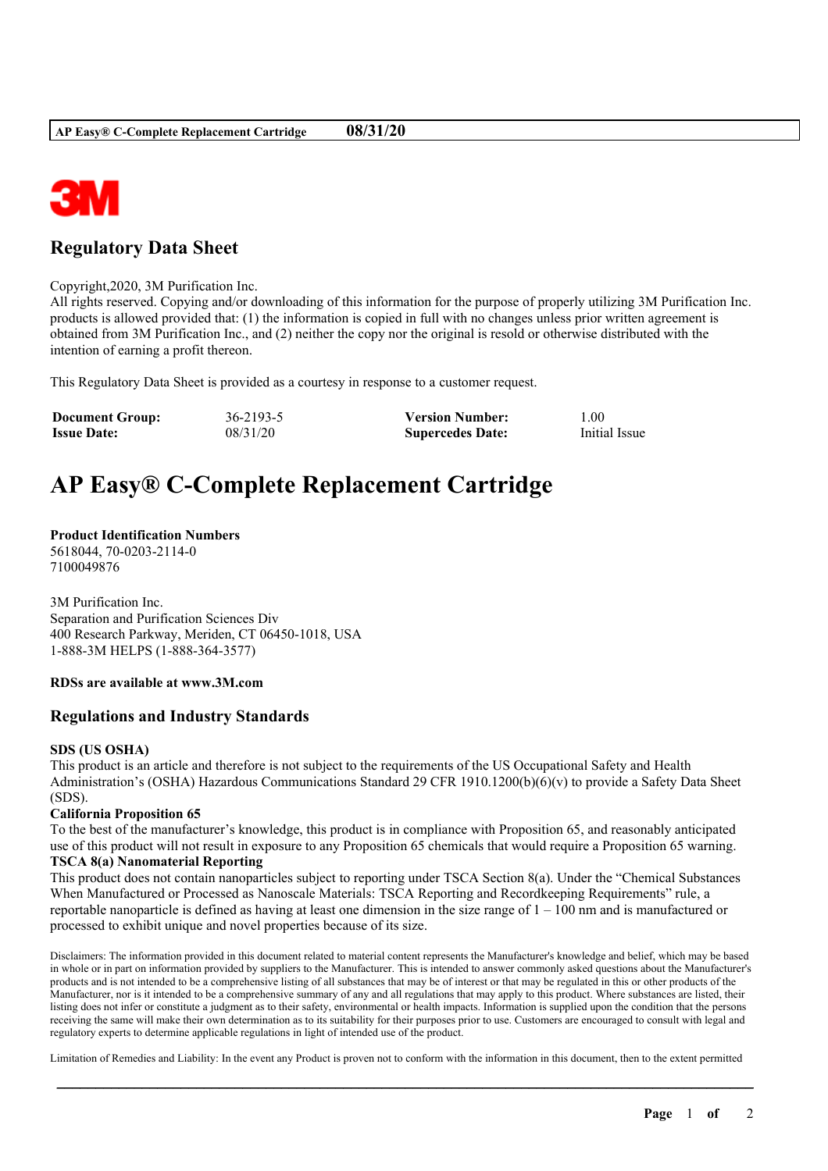

# **Regulatory Data Sheet**

Copyright,2020, 3M Purification Inc.

All rights reserved. Copying and/or downloading of this information for the purpose of properly utilizing 3M Purification Inc. products is allowed provided that: (1) the information is copied in full with no changes unless prior written agreement is obtained from 3M Purification Inc., and (2) neither the copy nor the original is resold or otherwise distributed with the intention of earning a profit thereon.

This Regulatory Data Sheet is provided as a courtesy in response to a customer request.

| <b>Document Group:</b> | 36-2193-5 | <b>Version Number:</b>  | . .00         |
|------------------------|-----------|-------------------------|---------------|
| <b>Issue Date:</b>     | 08/31/20  | <b>Supercedes Date:</b> | Initial Issue |

# **AP Easy® C-Complete Replacement Cartridge**

# **Product Identification Numbers**

5618044, 70-0203-2114-0 7100049876

3M Purification Inc. Separation and Purification Sciences Div 400 Research Parkway, Meriden, CT 06450-1018, USA 1-888-3M HELPS (1-888-364-3577)

## **RDSs are available at www.3M.com**

## **Regulations and Industry Standards**

## **SDS (US OSHA)**

This product is an article and therefore is not subject to the requirements of the US Occupational Safety and Health Administration's (OSHA) Hazardous Communications Standard 29 CFR 1910.1200(b)(6)(v) to provide a Safety Data Sheet (SDS).

## **California Proposition 65**

To the best of the manufacturer's knowledge, this product is in compliance with Proposition 65, and reasonably anticipated use of this product will not result in exposure to any Proposition 65 chemicals that would require a Proposition 65 warning.

#### **TSCA 8(a) Nanomaterial Reporting**

This product does not contain nanoparticles subject to reporting under TSCA Section 8(a). Under the "Chemical Substances When Manufactured or Processed as Nanoscale Materials: TSCA Reporting and Recordkeeping Requirements" rule, a reportable nanoparticle is defined as having at least one dimension in the size range of  $1 - 100$  nm and is manufactured or processed to exhibit unique and novel properties because of its size.

Disclaimers: The information provided in this document related to material content represents the Manufacturer's knowledge and belief, which may be based in whole or in part on information provided by suppliers to the Manufacturer. This is intended to answer commonly asked questions about the Manufacturer's products and is not intended to be a comprehensive listing of all substances that may be of interest or that may be regulated in this or other products of the Manufacturer, nor is it intended to be a comprehensive summary of any and all regulations that may apply to this product. Where substances are listed, their listing does not infer or constitute a judgment as to their safety, environmental or health impacts. Information is supplied upon the condition that the persons receiving the same will make their own determination as to its suitability for their purposes prior to use. Customers are encouraged to consult with legal and regulatory experts to determine applicable regulations in light of intended use of the product.

Limitation of Remedies and Liability: In the event any Product is proven not to conform with the information in this document, then to the extent permitted

\_\_\_\_\_\_\_\_\_\_\_\_\_\_\_\_\_\_\_\_\_\_\_\_\_\_\_\_\_\_\_\_\_\_\_\_\_\_\_\_\_\_\_\_\_\_\_\_\_\_\_\_\_\_\_\_\_\_\_\_\_\_\_\_\_\_\_\_\_\_\_\_\_\_\_\_\_\_\_\_\_\_\_\_\_\_\_\_\_\_